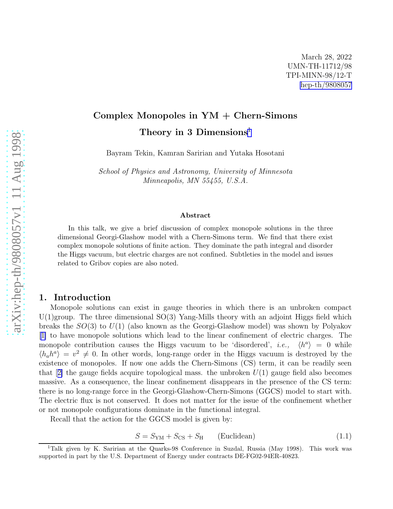# Complex Monopoles in YM + Chern-Simons Theory in 3 Dimensions<sup>1</sup>

Bayram Tekin, Kamran Saririan and Yutaka Hosotani

School of Physics and Astronomy, University of Minnesota Minneapolis, MN 55455, U.S.A.

#### Abstract

In this talk, we give a brief discussion of complex monopole solutions in the three dimensional Georgi-Glashow model with a Chern-Simons term. We find that there exist complex monopole solutions of finite action. They dominate the path integral and disorder the Higgs vacuum, but electric charges are not confined. Subtleties in the model and issues related to Gribov copies are also noted.

### 1. Introduction

Monopole solutions can exist in gauge theories in which there is an unbroken compact  $U(1)$ group. The three dimensional  $SO(3)$  Yang-Mills theory with an adjoint Higgs field which breaks the  $SO(3)$  to  $U(1)$  (also known as the Georgi-Glashow model) was shown by Polyakov [[1\]](#page-9-0) to have monopole solutions which lead to the linear confinement of electric charges. The monopole contribution causes the Higgs vacuum to be 'disordered', *i.e.*,  $\langle h^a \rangle = 0$  while  $\langle h_a h^a \rangle = v^2 \neq 0$ . In other words, long-range order in the Higgs vacuum is destroyed by the existence of monopoles. If now one adds the Chern-Simons (CS) term, it can be readily seen that $[2]$  $[2]$  the gauge fields acquire topological mass. the unbroken  $U(1)$  gauge field also becomes massive. As a consequence, the linear confinement disappears in the presence of the CS term: there is no long-range force in the Georgi-Glashow-Chern-Simons (GGCS) model to start with. The electric flux is not conserved. It does not matter for the issue of the confinement whether or not monopole configurations dominate in the functional integral.

Recall that the action for the GGCS model is given by:

$$
S = S_{\text{YM}} + S_{\text{CS}} + S_{\text{H}} \qquad \text{(Euclidean)} \tag{1.1}
$$

<sup>1</sup>Talk given by K. Saririan at the Quarks-98 Conference in Suzdal, Russia (May 1998). This work was supported in part by the U.S. Department of Energy under contracts DE-FG02-94ER-40823.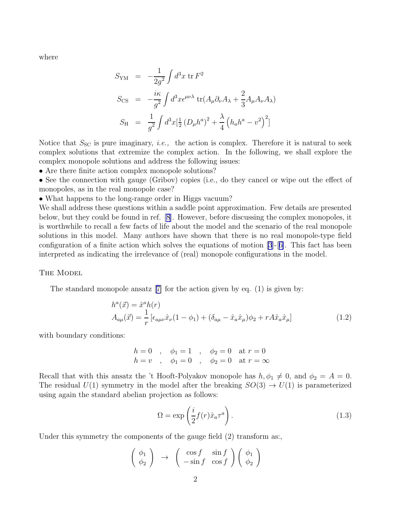where

$$
S_{\text{YM}} = -\frac{1}{2g^2} \int d^3x \,\text{tr}\, F^2
$$
  
\n
$$
S_{\text{CS}} = -\frac{i\kappa}{g^2} \int d^3x \epsilon^{\mu\nu\lambda} \,\text{tr}(A_\mu \partial_\nu A_\lambda + \frac{2}{3} A_\mu A_\nu A_\lambda)
$$
  
\n
$$
S_{\text{H}} = \frac{1}{g^2} \int d^3x \left[\frac{1}{2} (D_\mu h^a)^2 + \frac{\lambda}{4} \left(h_a h^a - v^2\right)^2\right]
$$

Notice that  $S_{\rm SC}$  is pure imaginary, *i.e.*, the action is complex. Therefore it is natural to seek complex solutions that extremize the complex action. In the following, we shall explore the complex monopole solutions and address the following issues:

• Are there finite action complex monopole solutions?

• See the connection with gauge (Gribov) copies (i.e., do they cancel or wipe out the effect of monopoles, as in the real monopole case?

• What happens to the long-range order in Higgs vacuum?

We shall address these questions within a saddle point approximation. Few details are presented below, but they could be found in ref. [\[8](#page-9-0)]. However, before discussing the complex monopoles, it is worthwhile to recall a few facts of life about the model and the scenario of the real monopole solutions in this model. Many authors have shown that there is no real monopole-type field configuration of a finite action which solves the equations of motion  $[3]-[6]$  $[3]-[6]$ . This fact has been interpreted as indicating the irrelevance of (real) monopole configurations in the model.

THE MODEL

Thestandard monopole ansatz  $[7]$  $[7]$  for the action given by eq.  $(1)$  is given by:

$$
h^{a}(\vec{x}) = \hat{x}^{a}h(r)
$$
  
\n
$$
A_{a\mu}(\vec{x}) = \frac{1}{r} \left[ \epsilon_{a\mu\nu} \hat{x}_{\nu} (1 - \phi_{1}) + (\delta_{a\mu} - \hat{x}_{a} \hat{x}_{\mu}) \phi_{2} + r A \hat{x}_{a} \hat{x}_{\mu} \right]
$$
\n(1.2)

with boundary conditions:

 $h = 0$  ,  $\phi_1 = 1$  ,  $\phi_2 = 0$  at  $r = 0$  $h = v \quad , \quad \phi_1 = 0 \quad , \quad \phi_2 = 0 \quad \text{at } r = \infty$ 

Recall that with this ansatz the 't Hooft-Polyakov monopole has  $h, \phi_1 \neq 0$ , and  $\phi_2 = A = 0$ . The residual  $U(1)$  symmetry in the model after the breaking  $SO(3) \rightarrow U(1)$  is parameterized using again the standard abelian projection as follows:

$$
\Omega = \exp\left(\frac{i}{2}f(r)\hat{x}_a\tau^a\right). \tag{1.3}
$$

Under this symmetry the components of the gauge field (2) transform as:,

$$
\begin{pmatrix} \phi_1 \\ \phi_2 \end{pmatrix} \rightarrow \begin{pmatrix} \cos f & \sin f \\ -\sin f & \cos f \end{pmatrix} \begin{pmatrix} \phi_1 \\ \phi_2 \end{pmatrix}
$$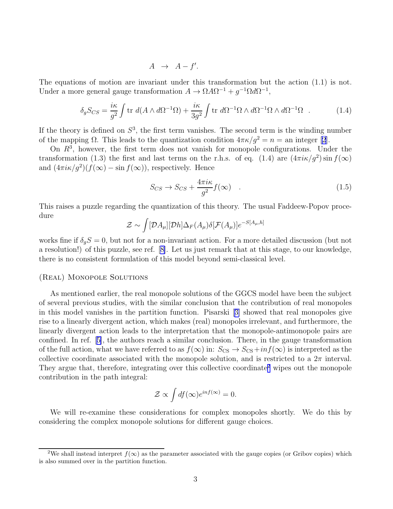$$
A \rightarrow A - f'.
$$

The equations of motion are invariant under this transformation but the action (1.1) is not. Under a more general gauge transformation  $A \to \Omega A \Omega^{-1} + g^{-1} \Omega d \Omega^{-1}$ ,

$$
\delta_g S_{CS} = \frac{i\kappa}{g^2} \int \text{tr } d(A \wedge d\Omega^{-1}\Omega) + \frac{i\kappa}{3g^2} \int \text{tr } d\Omega^{-1}\Omega \wedge d\Omega^{-1}\Omega \wedge d\Omega^{-1}\Omega \quad . \tag{1.4}
$$

If the theory is defined on  $S^3$ , the first term vanishes. The second term is the winding number of the mapping  $\Omega$ . This leads to the quantization condition  $4\pi \kappa / g^2 = n =$  an integer [\[2](#page-9-0)].

On  $R<sup>3</sup>$ , however, the first term does not vanish for monopole configurations. Under the transformation (1.3) the first and last terms on the r.h.s. of eq. (1.4) are  $(4\pi i \kappa/g^2) \sin f(\infty)$ and  $(4\pi i \kappa / g^2)(f(\infty) - \sin f(\infty))$ , respectively. Hence

$$
S_{CS} \to S_{CS} + \frac{4\pi i\kappa}{g^2} f(\infty) \quad . \tag{1.5}
$$

This raises a puzzle regarding the quantization of this theory. The usual Faddeew-Popov procedure

$$
\mathcal{Z} \sim \int [\mathcal{D}A_{\mu}][\mathcal{D}h] \Delta_{F}(A_{\mu}) \delta[\mathcal{F}(A_{\mu})] e^{-S[A_{\mu},h]}
$$

works fine if  $\delta_g S = 0$ , but not for a non-invariant action. For a more detailed discussion (but not a resolution!) of this puzzle, see ref.[[8\]](#page-9-0). Let us just remark that at this stage, to our knowledge, there is no consistent formulation of this model beyond semi-classical level.

#### (Real) Monopole Solutions

As mentioned earlier, the real monopole solutions of the GGCS model have been the subject of several previous studies, with the similar conclusion that the contribution of real monopoles in this model vanishes in the partition function. Pisarski[[3\]](#page-9-0) showed that real monopoles give rise to a linearly divergent action, which makes (real) monopoles irrelevant, and furthermore, the linearly divergent action leads to the interpretation that the monopole-antimonopole pairs are confined. In ref.[[5\]](#page-9-0), the authors reach a similar conclusion. There, in the gauge transformation of the full action, what we have referred to as  $f(\infty)$  in:  $S_{\text{CS}} \to S_{\text{CS}} + inf(\infty)$  is interpreted as the collective coordinate associated with the monopole solution, and is restricted to a  $2\pi$  interval. They argue that, therefore, integrating over this collective coordinate<sup>2</sup> wipes out the monopole contribution in the path integral:

$$
\mathcal{Z} \propto \int df(\infty) e^{inf(\infty)} = 0.
$$

We will re-examine these considerations for complex monopoles shortly. We do this by considering the complex monopole solutions for different gauge choices.

<sup>&</sup>lt;sup>2</sup>We shall instead interpret  $f(\infty)$  as the parameter associated with the gauge copies (or Gribov copies) which is also summed over in the partition function.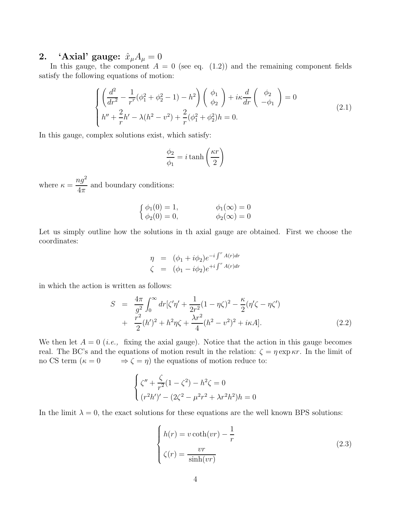### 2. 'Axial' gauge:  $\hat{x}_{\mu}A_{\mu}=0$

In this gauge, the component  $A = 0$  (see eq. (1.2)) and the remaining component fields satisfy the following equations of motion:

$$
\begin{cases}\n\left(\frac{d^2}{dr^2} - \frac{1}{r^r}(\phi_1^2 + \phi_2^2 - 1) - h^2\right)\begin{pmatrix} \phi_1 \\ \phi_2 \end{pmatrix} + i\kappa \frac{d}{dr} \begin{pmatrix} \phi_2 \\ -\phi_1 \end{pmatrix} = 0 \\
h'' + \frac{2}{r}h' - \lambda(h^2 - v^2) + \frac{2}{r}(\phi_1^2 + \phi_2^2)h = 0.\n\tag{2.1}
$$

In this gauge, complex solutions exist, which satisfy:

$$
\frac{\phi_2}{\phi_1} = i \tanh\left(\frac{\kappa r}{2}\right)
$$

where  $\kappa = \frac{ng^2}{4\pi}$  $\frac{dy}{4\pi}$  and boundary conditions:

$$
\begin{cases}\n\phi_1(0) = 1, & \phi_1(\infty) = 0 \\
\phi_2(0) = 0, & \phi_2(\infty) = 0\n\end{cases}
$$

Let us simply outline how the solutions in th axial gauge are obtained. First we choose the coordinates:

$$
\eta = (\phi_1 + i\phi_2)e^{-i\int^r A(r)dr}
$$
  

$$
\zeta = (\phi_1 - i\phi_2)e^{+i\int^r A(r)dr}
$$

in which the action is written as follows:

$$
S = \frac{4\pi}{g^2} \int_0^\infty dr [\zeta'\eta' + \frac{1}{2r^2} (1 - \eta\zeta)^2 - \frac{\kappa}{2} (\eta'\zeta - \eta\zeta') + \frac{r^2}{2} (h')^2 + h^2 \eta \zeta + \frac{\lambda r^2}{4} (h^2 - v^2)^2 + i\kappa A].
$$
 (2.2)

We then let  $A = 0$  (*i.e.*, fixing the axial gauge). Notice that the action in this gauge becomes real. The BC's and the equations of motion result in the relation:  $\zeta = \eta \exp \kappa r$ . In the limit of no CS term  $(\kappa = 0 \Rightarrow \zeta = \eta)$  the equations of motion reduce to:

$$
\begin{cases} \zeta'' + \frac{\zeta}{r^2} (1 - \zeta^2) - h^2 \zeta = 0\\ (r^2 h')' - (2\zeta^2 - \mu^2 r^2 + \lambda r^2 h^2) h = 0 \end{cases}
$$

In the limit  $\lambda = 0$ , the exact solutions for these equations are the well known BPS solutions:

$$
\begin{cases}\nh(r) = v \coth(vr) - \frac{1}{r} \\
\zeta(r) = \frac{vr}{\sinh(vr)}\n\end{cases}
$$
\n(2.3)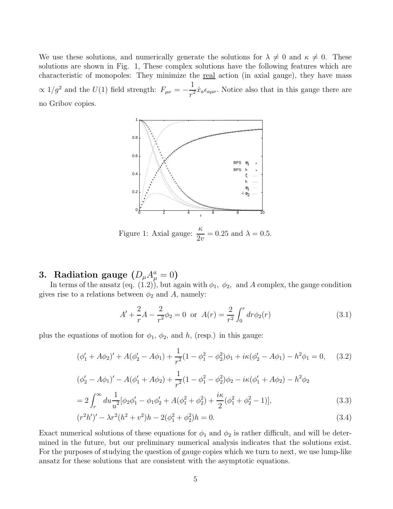We use these solutions, and numerically generate the solutions for  $\lambda \neq 0$  and  $\kappa \neq 0$ . These solutions are shown in Fig. 1, These complex solutions have the following features which are characteristic of monopoles: They minimize the real action (in axial gauge), they have mass  $\propto 1/g^2$  and the  $U(1)$  field strength:  $F_{\mu\nu} = -\frac{1}{\pi^2}$  $\frac{1}{r^2}\hat{x}_a\epsilon_{a\mu\nu}$ . Notice also that in this gauge there are no Gribov copies.



Figure 1: Axial gauge:  $\frac{\kappa}{2v} = 0.25$  and  $\lambda = 0.5$ .

## 3. Radiation gauge  $(D_\mu A_\mu^a = 0)$

In terms of the ansatz (eq.  $(1.2)$ ), but again with  $\phi_1$ ,  $\phi_2$ , and A complex, the gauge condition gives rise to a relations between  $\phi_2$  and A, namely:

$$
A' + \frac{2}{r}A - \frac{2}{r^2}\phi_2 = 0 \text{ or } A(r) = \frac{2}{r^2} \int_0^r dr \phi_2(r)
$$
 (3.1)

plus the equations of motion for  $\phi_1$ ,  $\phi_2$ , and h, (resp.) in this gauge:

$$
(\phi_1' + A\phi_2)' + A(\phi_2' - A\phi_1) + \frac{1}{r^2}(1 - \phi_1^2 - \phi_2^2)\phi_1 + i\kappa(\phi_2' - A\phi_1) - h^2\phi_1 = 0,\tag{3.2}
$$

$$
(\phi_2' - A\phi_1)' - A(\phi_1' + A\phi_2) + \frac{1}{r^2}(1 - \phi_1^2 - \phi_2^2)\phi_2 - i\kappa(\phi_1' + A\phi_2) - h^2\phi_2
$$
  
= 
$$
2\int_r^\infty du \frac{1}{u^2} [\phi_2\phi_1' - \phi_1\phi_2' + A(\phi_1^2 + \phi_2^2) + \frac{i\kappa}{2}(\phi_1^2 + \phi_2^2 - 1)],
$$
 (3.3)

$$
(r2h')' - \lambda r2(h2 + v2)h - 2(\phi12 + \phi22)h = 0.
$$
 (3.4)

Exact numerical solutions of these equations for  $\phi_1$  and  $\phi_2$  is rather difficult, and will be determined in the future, but our preliminary numerical analysis indicates that the solutions exist. For the purposes of studying the question of gauge copies which we turn to next, we use lump-like ansatz for these solutions that are consistent with the asymptotic equations.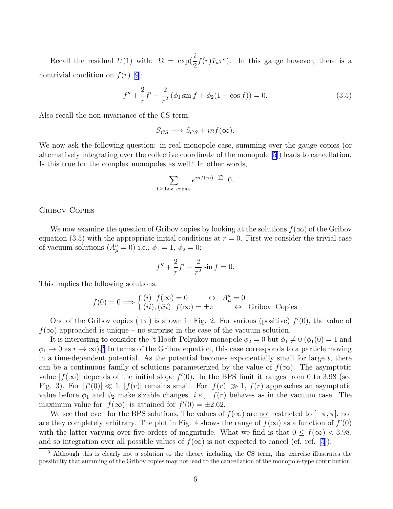Recall the residual  $U(1)$  with:  $\Omega = \exp(\frac{i}{2}f(r)\hat{x}_a\tau^a)$ . In this gauge however, there is a nontrivial condition on  $f(r)$  [\[9](#page-9-0)]:

$$
f'' + \frac{2}{r}f' - \frac{2}{r^2}(\phi_1 \sin f + \phi_2(1 - \cos f)) = 0.
$$
 (3.5)

Also recall the non-invariance of the CS term:

$$
S_{CS} \longrightarrow S_{CS} + inf(\infty).
$$

We now ask the following question: in real monopole case, summing over the gauge copies (or alternatively integrating over the collective coordinate of the monopole [\[5](#page-9-0)]) leads to cancellation. Is this true for the complex monopoles as well? In other words,

$$
\sum_{\text{Gribov copies}} e^{inf(\infty)} \stackrel{??}{=} 0.
$$

### Gribov Copies

We now examine the question of Gribov copies by looking at the solutions  $f(\infty)$  of the Gribov equation (3.5) with the appropriate initial conditions at  $r = 0$ . First we consider the trivial case of vacuum solutions  $(A_{\mu}^a = 0)$  i.e.,  $\phi_1 = 1, \phi_2 = 0$ :

$$
f'' + \frac{2}{r}f' - \frac{2}{r^2}\sin f = 0.
$$

This implies the following solutions:

$$
f(0) = 0 \Longrightarrow \begin{cases} (i) \ f(\infty) = 0 & \leftrightarrow \ A_\mu^a = 0\\ (ii), (iii) \ f(\infty) = \pm \pi & \leftrightarrow \text{Gribov Copies} \end{cases}
$$

One of the Gribov copies  $(+\pi)$  is shown in Fig. 2. For various (positive)  $f'(0)$ , the value of  $f(\infty)$  approached is unique – no surprise in the case of the vacuum solution.

It is interesting to consider the 't Hooft-Polyakov monopole  $\phi_2 = 0$  but  $\phi_1 \neq 0$  ( $\phi_1(0) = 1$  and  $\phi_1 \to 0$  as  $r \to \infty$ ).<sup>3</sup> In terms of the Gribov equation, this case corresponds to a particle moving in a time-dependent potential. As the potential becomes exponentially small for large  $t$ , there can be a continuous family of solutions parameterized by the value of  $f(\infty)$ . The asymptotic value  $|f(\infty)|$  depends of the initial slope  $f'(0)$ . In the BPS limit it ranges from 0 to 3.98 (see Fig. 3). For  $|f'(0)| \ll 1$ ,  $|f(r)|$  remains small. For  $|f(r)| \gg 1$ ,  $f(r)$  approaches an asymptotic value before  $\phi_1$  and  $\phi_2$  make sizable changes, *i.e.*,  $f(r)$  behaves as in the vacuum case. The maximum value for  $|f(\infty)|$  is attained for  $f'(0) = \pm 2.62$ .

We see that even for the BPS solutions, The values of  $f(\infty)$  are <u>not</u> restricted to  $[-\pi, \pi]$ , nor are they completely arbitrary. The plot in Fig. 4 shows the range of  $f(x)$  as a function of  $f'(0)$ with the latter varying over five orders of magnitude. What we find is that  $0 \le f(\infty) < 3.98$ , and so integration over all possible values of  $f(\infty)$  is not expected to cancel (cf. ref. [\[5](#page-9-0)]).

<sup>&</sup>lt;sup>3</sup> Although this is clearly not a solution to the theory including the CS term, this exercise illustrates the possibility that summing of the Gribov copies may not lead to the cancellation of the monopole-type contribution.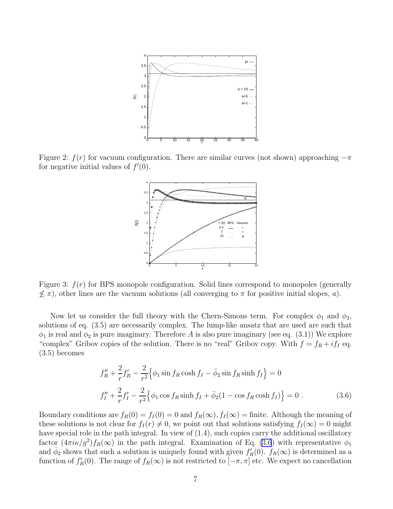

Figure 2:  $f(r)$  for vacuum configuration. There are similar curves (not shown) approaching  $-\pi$ for negative initial values of  $f'(0)$ .



Figure 3:  $f(r)$  for BPS monopole configuration. Solid lines correspond to monopoles (generally  $\not\leq \pi$ ), other lines are the vacuum solutions (all converging to  $\pi$  for positive initial slopes, a).

Now let us consider the full theory with the Chern-Simons term. For complex  $\phi_1$  and  $\phi_2$ , solutions of eq. (3.5) are necessarily complex. The lump-like ansatz that are used are such that  $\phi_1$  is real and  $\phi_2$  is pure imaginary. Therefore A is also pure imaginary (see eq. (3.1)) We explore "complex" Gribov copies of the solution. There is no "real" Gribov copy. With  $f = f_R + i f_I$  eq. (3.5) becomes

$$
f_R'' + \frac{2}{r} f_R' - \frac{2}{r^2} \Big\{ \phi_1 \sin f_R \cosh f_I - \bar{\phi}_2 \sin f_R \sinh f_I \Big\} = 0
$$
  

$$
f_I'' + \frac{2}{r} f_I' - \frac{2}{r^2} \Big\{ \phi_1 \cos f_R \sinh f_I + \bar{\phi}_2 (1 - \cos f_R \cosh f_I) \Big\} = 0 .
$$
 (3.6)

Boundary conditions are  $f_R(0) = f_I(0) = 0$  and  $f_R(\infty)$ ,  $f_I(\infty) =$  finite. Although the meaning of these solutions is not clear for  $f_I(r) \neq 0$ , we point out that solutions satisfying  $f_I(\infty) = 0$  might have special role in the path integral. In view of  $(1.4)$ , such copies carry the additional oscillatory factor  $(4\pi i \kappa / g^2) f_R(\infty)$  in the path integral. Examination of Eq. (3.6) with representative  $\phi_1$ and  $\bar{\phi}_2$  shows that such a solution is uniquely found with given  $f'_R(0)$ .  $f_R(\infty)$  is determined as a function of  $f'_R(0)$ . The range of  $f_R(\infty)$  is not restricted to  $[-\pi, \pi]$  etc. We expect no cancellation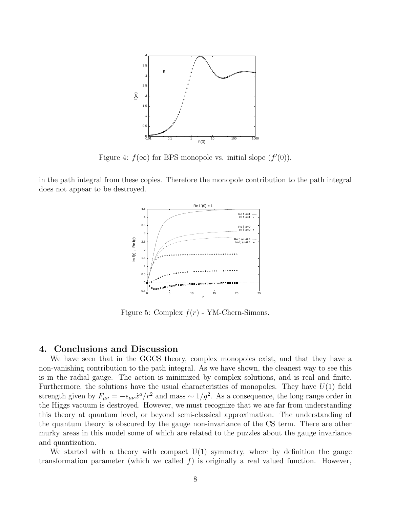

Figure 4:  $f(\infty)$  for BPS monopole vs. initial slope  $(f'(0))$ .

in the path integral from these copies. Therefore the monopole contribution to the path integral does not appear to be destroyed.



Figure 5: Complex  $f(r)$  - YM-Chern-Simons.

### 4. Conclusions and Discussion

We have seen that in the GGCS theory, complex monopoles exist, and that they have a non-vanishing contribution to the path integral. As we have shown, the cleanest way to see this is in the radial gauge. The action is minimized by complex solutions, and is real and finite. Furthermore, the solutions have the usual characteristics of monopoles. They have  $U(1)$  field strength given by  $F_{\mu\nu} = -\epsilon_{\mu\nu}\hat{x}^a/r^2$  and mass  $\sim 1/g^2$ . As a consequence, the long range order in the Higgs vacuum is destroyed. However, we must recognize that we are far from understanding this theory at quantum level, or beyond semi-classical approximation. The understanding of the quantum theory is obscured by the gauge non-invariance of the CS term. There are other murky areas in this model some of which are related to the puzzles about the gauge invariance and quantization.

We started with a theory with compact  $U(1)$  symmetry, where by definition the gauge transformation parameter (which we called  $f$ ) is originally a real valued function. However,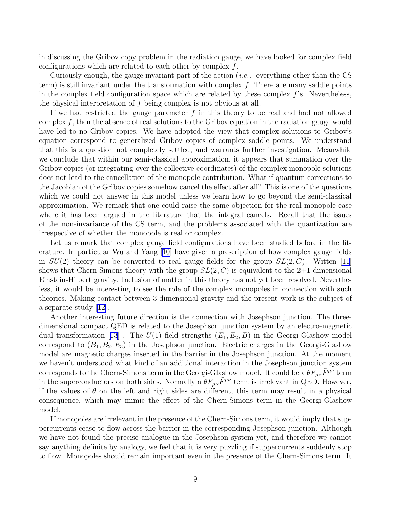in discussing the Gribov copy problem in the radiation gauge, we have looked for complex field configurations which are related to each other by complex f.

Curiously enough, the gauge invariant part of the action (*i.e.*, everything other than the CS term) is still invariant under the transformation with complex  $f$ . There are many saddle points in the complex field configuration space which are related by these complex  $f$ 's. Nevertheless, the physical interpretation of f being complex is not obvious at all.

If we had restricted the gauge parameter  $f$  in this theory to be real and had not allowed complex  $f$ , then the absence of real solutions to the Gribov equation in the radiation gauge would have led to no Gribov copies. We have adopted the view that complex solutions to Gribov's equation correspond to generalized Gribov copies of complex saddle points. We understand that this is a question not completely settled, and warrants further investigation. Meanwhile we conclude that within our semi-classical approximation, it appears that summation over the Gribov copies (or integrating over the collective coordinates) of the complex monopole solutions does not lead to the cancellation of the monopole contribution. What if quantum corrections to the Jacobian of the Gribov copies somehow cancel the effect after all? This is one of the questions which we could not answer in this model unless we learn how to go beyond the semi-classical approximation. We remark that one could raise the same objection for the real monopole case where it has been argued in the literature that the integral cancels. Recall that the issues of the non-invariance of the CS term, and the problems associated with the quantization are irrespective of whether the monopole is real or complex.

Let us remark that complex gauge field configurations have been studied before in the literature. In particular Wu and Yang [\[10\]](#page-9-0) have given a prescription of how complex gauge fields in  $SU(2)$  theory can be converted to real gauge fields for the group  $SL(2, C)$ . Witten [\[11\]](#page-9-0) shows that Chern-Simons theory with the group  $SL(2, C)$  is equivalent to the 2+1 dimensional Einstein-Hilbert gravity. Inclusion of matter in this theory has not yet been resolved. Nevertheless, it would be interesting to see the role of the complex monopoles in connection with such theories. Making contact between 3 dimensional gravity and the present work is the subject of a separate study [\[12\]](#page-9-0).

Another interesting future direction is the connection with Josephson junction. The threedimensional compact QED is related to the Josephson junction system by an electro-magnetic dualtransformation [[13](#page-9-0)]. The  $U(1)$  field strengths  $(E_1, E_2, B)$  in the Georgi-Glashow model correspond to  $(B_1, B_2, E_3)$  in the Josephson junction. Electric charges in the Georgi-Glashow model are magnetic charges inserted in the barrier in the Josephson junction. At the moment we haven't understood what kind of an additional interaction in the Josephson junction system corresponds to the Chern-Simons term in the Georgi-Glashow model. It could be a  $\theta F_{\mu\nu}\tilde{F}^{\mu\nu}$  term in the superconductors on both sides. Normally a  $\theta F_{\mu\nu}\tilde{F}^{\mu\nu}$  term is irrelevant in QED. However, if the values of  $\theta$  on the left and right sides are different, this term may result in a physical consequence, which may mimic the effect of the Chern-Simons term in the Georgi-Glashow model.

If monopoles are irrelevant in the presence of the Chern-Simons term, it would imply that suppercurrents cease to flow across the barrier in the corresponding Josephson junction. Although we have not found the precise analogue in the Josephson system yet, and therefore we cannot say anything definite by analogy, we feel that it is very puzzling if suppercurrents suddenly stop to flow. Monopoles should remain important even in the presence of the Chern-Simons term. It